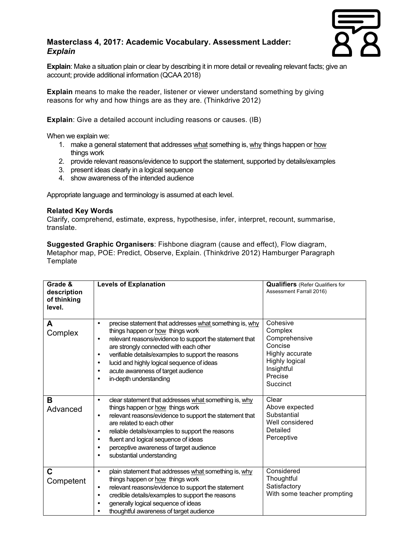## **Masterclass 4, 2017: Academic Vocabulary. Assessment Ladder:** *Explain*



**Explain**: Make a situation plain or clear by describing it in more detail or revealing relevant facts; give an account; provide additional information (QCAA 2018)

**Explain** means to make the reader, listener or viewer understand something by giving reasons for why and how things are as they are. (Thinkdrive 2012)

**Explain**: Give a detailed account including reasons or causes. (IB)

When we explain we:

- 1. make a general statement that addresses what something is, why things happen or how things work
- 2. provide relevant reasons/evidence to support the statement, supported by details/examples
- 3. present ideas clearly in a logical sequence
- 4. show awareness of the intended audience

Appropriate language and terminology is assumed at each level.

## **Related Key Words**

Clarify, comprehend, estimate, express, hypothesise, infer, interpret, recount, summarise, translate.

**Suggested Graphic Organisers**: Fishbone diagram (cause and effect), Flow diagram, Metaphor map, POE: Predict, Observe, Explain. (Thinkdrive 2012) Hamburger Paragraph **Template** 

| Grade &<br>description<br>of thinking<br>level. | <b>Levels of Explanation</b>                                                                                                                                                                                                                                                                                                                                                                             | <b>Qualifiers</b> (Refer Qualifiers for<br>Assessment Farrall 2016)                                                              |
|-------------------------------------------------|----------------------------------------------------------------------------------------------------------------------------------------------------------------------------------------------------------------------------------------------------------------------------------------------------------------------------------------------------------------------------------------------------------|----------------------------------------------------------------------------------------------------------------------------------|
| A<br>Complex                                    | precise statement that addresses what something is, why<br>$\bullet$<br>things happen or how things work<br>relevant reasons/evidence to support the statement that<br>٠<br>are strongly connected with each other<br>verifiable details/examples to support the reasons<br>٠<br>lucid and highly logical sequence of ideas<br>$\bullet$<br>acute awareness of target audience<br>in-depth understanding | Cohesive<br>Complex<br>Comprehensive<br>Concise<br>Highly accurate<br><b>Highly logical</b><br>Insightful<br>Precise<br>Succinct |
| B<br>Advanced                                   | clear statement that addresses what something is, why<br>$\bullet$<br>things happen or how things work<br>relevant reasons/evidence to support the statement that<br>$\bullet$<br>are related to each other<br>reliable details/examples to support the reasons<br>fluent and logical sequence of ideas<br>$\bullet$<br>perceptive awareness of target audience<br>substantial understanding<br>٠        | Clear<br>Above expected<br>Substantial<br>Well considered<br>Detailed<br>Perceptive                                              |
| C<br>Competent                                  | plain statement that addresses what something is, why<br>$\bullet$<br>things happen or how things work<br>relevant reasons/evidence to support the statement<br>٠<br>credible details/examples to support the reasons<br>٠<br>generally logical sequence of ideas<br>thoughtful awareness of target audience                                                                                             | Considered<br>Thoughtful<br>Satisfactory<br>With some teacher prompting                                                          |